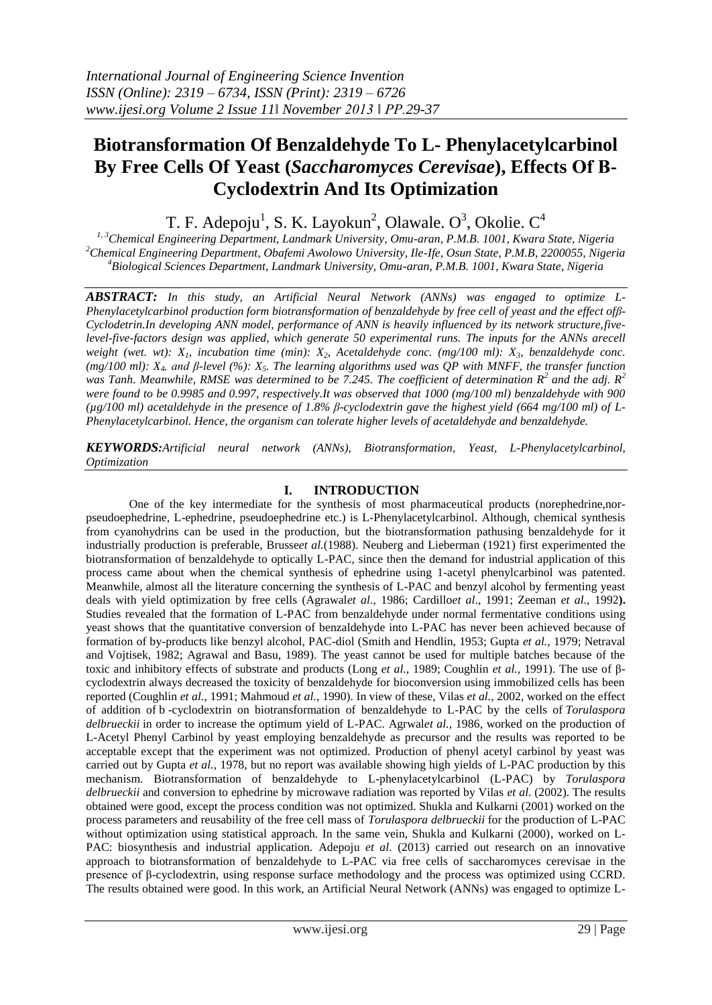# **Biotransformation Of Benzaldehyde To L- Phenylacetylcarbinol By Free Cells Of Yeast (***Saccharomyces Cerevisae***), Effects Of Β-Cyclodextrin And Its Optimization**

T. F. Adepoju<sup>1</sup>, S. K. Layokun<sup>2</sup>, Olawale. O<sup>3</sup>, Okolie. C<sup>4</sup>

*1, 3Chemical Engineering Department, Landmark University, Omu-aran, P.M.B. 1001, Kwara State, Nigeria <sup>2</sup>Chemical Engineering Department, Obafemi Awolowo University, Ile-Ife, Osun State, P.M.B, 2200055, Nigeria <sup>4</sup>Biological Sciences Department, Landmark University, Omu-aran, P.M.B. 1001, Kwara State, Nigeria*

*ABSTRACT: In this study, an Artificial Neural Network (ANNs) was engaged to optimize L-Phenylacetylcarbinol production form biotransformation of benzaldehyde by free cell of yeast and the effect ofβ-Cyclodetrin.In developing ANN model, performance of ANN is heavily influenced by its network structure,fivelevel-five-factors design was applied, which generate 50 experimental runs. The inputs for the ANNs arecell weight (wet. wt): X1, incubation time (min): X2, Acetaldehyde conc. (mg/100 ml): X3, benzaldehyde conc. (mg/100 ml): X4, and β-level (%): X5. The learning algorithms used was QP with MNFF, the transfer function*  was Tanh. Meanwhile, RMSE was determined to be 7.245. The coefficient of determination  $R^2$  and the adj.  $R^2$ *were found to be 0.9985 and 0.997, respectively.It was observed that 1000 (mg/100 ml) benzaldehyde with 900 (µg/100 ml) acetaldehyde in the presence of 1.8% β-cyclodextrin gave the highest yield (664 mg/100 ml) of L-Phenylacetylcarbinol. Hence, the organism can tolerate higher levels of acetaldehyde and benzaldehyde.* 

*KEYWORDS:Artificial neural network (ANNs), Biotransformation, Yeast, L-Phenylacetylcarbinol, Optimization*

## **I. INTRODUCTION**

One of the key intermediate for the synthesis of most pharmaceutical products (norephedrine,norpseudoephedrine, L-ephedrine, pseudoephedrine etc.) is L-Phenylacetylcarbinol. Although, chemical synthesis from cyanohydrins can be used in the production, but the biotransformation pathusing benzaldehyde for it industrially production is preferable, Brusse*et al.*(1988). Neuberg and Lieberman (1921) first experimented the biotransformation of benzaldehyde to optically L-PAC, since then the demand for industrial application of this process came about when the chemical synthesis of ephedrine using 1-acetyl phenylcarbinol was patented. Meanwhile, almost all the literature concerning the synthesis of L-PAC and benzyl alcohol by fermenting yeast deals with yield optimization by free cells (Agrawal*et al*., 1986; Cardillo*et al*., 1991; Zeeman *et al.,* 1992**).** Studies revealed that the formation of L-PAC from benzaldehyde under normal fermentative conditions using yeast shows that the quantitative conversion of benzaldehyde into L-PAC has never been achieved because of formation of by-products like benzyl alcohol, PAC-diol (Smith and Hendlin, 1953; Gupta *et al.,* 1979; Netraval and Vojtisek, 1982; Agrawal and Basu, 1989). The yeast cannot be used for multiple batches because of the toxic and inhibitory effects of substrate and products (Long *et al*., 1989; Coughlin *et al.,* 1991). The use of βcyclodextrin always decreased the toxicity of benzaldehyde for bioconversion using immobilized cells has been reported (Coughlin *et al.,* 1991; Mahmoud *et al.,* 1990). In view of these, Vilas *et al.,* 2002, worked on the effect of addition of b -cyclodextrin on biotransformation of benzaldehyde to L-PAC by the cells of *Torulaspora delbrueckii* in order to increase the optimum yield of L-PAC. Agrwal*et al.,* 1986, worked on the production of L-Acetyl Phenyl Carbinol by yeast employing benzaldehyde as precursor and the results was reported to be acceptable except that the experiment was not optimized. Production of phenyl acetyl carbinol by yeast was carried out by Gupta *et al.,* 1978, but no report was available showing high yields of L-PAC production by this mechanism. Biotransformation of benzaldehyde to L-phenylacetylcarbinol (L-PAC) by *Torulaspora delbrueckii* and conversion to ephedrine by microwave radiation was reported by Vilas *et al*. (2002). The results obtained were good, except the process condition was not optimized. Shukla and Kulkarni (2001) worked on the process parameters and reusability of the free cell mass of *Torulaspora delbrueckii* for the production of L-PAC without optimization using statistical approach. In the same vein, Shukla and Kulkarni (2000), worked on L-PAC: biosynthesis and industrial application. Adepoju *et al*. (2013) carried out research on an innovative approach to biotransformation of benzaldehyde to L-PAC via free cells of saccharomyces cerevisae in the presence of β-cyclodextrin, using response surface methodology and the process was optimized using CCRD. The results obtained were good. In this work, an Artificial Neural Network (ANNs) was engaged to optimize L-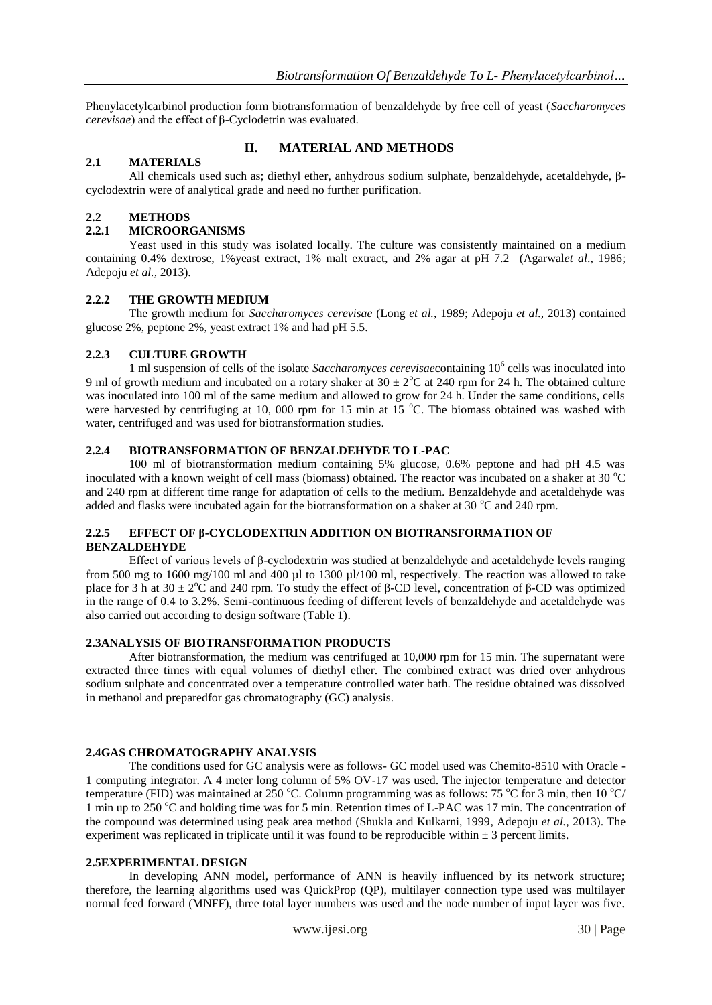Phenylacetylcarbinol production form biotransformation of benzaldehyde by free cell of yeast (*Saccharomyces cerevisae*) and the effect of β-Cyclodetrin was evaluated.

# **2.1 MATERIALS**

## **II. MATERIAL AND METHODS**

All chemicals used such as; diethyl ether, anhydrous sodium sulphate, benzaldehyde, acetaldehyde, βcyclodextrin were of analytical grade and need no further purification.

## **2.2 METHODS**

## **2.2.1 MICROORGANISMS**

Yeast used in this study was isolated locally. The culture was consistently maintained on a medium containing 0.4% dextrose, 1%yeast extract, 1% malt extract, and 2% agar at pH 7.2 (Agarwal*et al*., 1986; Adepoju *et al.,* 2013).

#### **2.2.2 THE GROWTH MEDIUM**

The growth medium for *Saccharomyces cerevisae* (Long *et al.,* 1989; Adepoju *et al.,* 2013) contained glucose 2%, peptone 2%, yeast extract 1% and had pH 5.5.

## **2.2.3 CULTURE GROWTH**

1 ml suspension of cells of the isolate *Saccharomyces cerevisae*containing 10<sup>6</sup> cells was inoculated into 9 ml of growth medium and incubated on a rotary shaker at  $30 \pm 2$ °C at 240 rpm for 24 h. The obtained culture was inoculated into 100 ml of the same medium and allowed to grow for 24 h. Under the same conditions, cells were harvested by centrifuging at 10, 000 rpm for 15 min at 15  $^{\circ}$ C. The biomass obtained was washed with water, centrifuged and was used for biotransformation studies.

## **2.2.4 BIOTRANSFORMATION OF BENZALDEHYDE TO L-PAC**

100 ml of biotransformation medium containing 5% glucose, 0.6% peptone and had pH 4.5 was inoculated with a known weight of cell mass (biomass) obtained. The reactor was incubated on a shaker at 30  $^{\circ}$ C and 240 rpm at different time range for adaptation of cells to the medium. Benzaldehyde and acetaldehyde was added and flasks were incubated again for the biotransformation on a shaker at 30  $^{\circ}$ C and 240 rpm.

## **2.2.5 EFFECT OF β-CYCLODEXTRIN ADDITION ON BIOTRANSFORMATION OF BENZALDEHYDE**

Effect of various levels of β-cyclodextrin was studied at benzaldehyde and acetaldehyde levels ranging from 500 mg to 1600 mg/100 ml and 400 µl to 1300 µl/100 ml, respectively. The reaction was allowed to take place for 3 h at  $30 \pm 2^{\circ}$ C and 240 rpm. To study the effect of β-CD level, concentration of β-CD was optimized in the range of 0.4 to 3.2%. Semi-continuous feeding of different levels of benzaldehyde and acetaldehyde was also carried out according to design software (Table 1).

#### **2.3ANALYSIS OF BIOTRANSFORMATION PRODUCTS**

After biotransformation, the medium was centrifuged at 10,000 rpm for 15 min. The supernatant were extracted three times with equal volumes of diethyl ether. The combined extract was dried over anhydrous sodium sulphate and concentrated over a temperature controlled water bath. The residue obtained was dissolved in methanol and preparedfor gas chromatography (GC) analysis.

#### **2.4GAS CHROMATOGRAPHY ANALYSIS**

The conditions used for GC analysis were as follows- GC model used was Chemito-8510 with Oracle - 1 computing integrator. A 4 meter long column of 5% OV-17 was used. The injector temperature and detector temperature (FID) was maintained at 250 °C. Column programming was as follows: 75 °C for 3 min, then 10 °C/ 1 min up to 250  $^{\circ}$ C and holding time was for 5 min. Retention times of L-PAC was 17 min. The concentration of the compound was determined using peak area method (Shukla and Kulkarni, 1999, Adepoju *et al.,* 2013). The experiment was replicated in triplicate until it was found to be reproducible within  $\pm 3$  percent limits.

#### **2.5EXPERIMENTAL DESIGN**

In developing ANN model, performance of ANN is heavily influenced by its network structure; therefore, the learning algorithms used was QuickProp (QP), multilayer connection type used was multilayer normal feed forward (MNFF), three total layer numbers was used and the node number of input layer was five.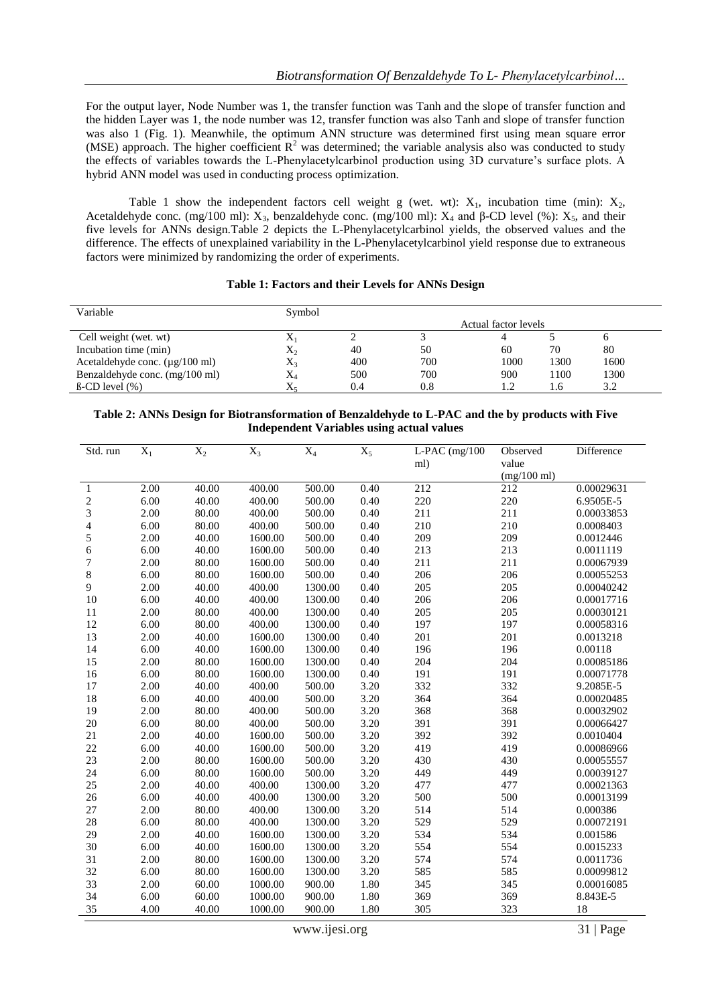For the output layer, Node Number was 1, the transfer function was Tanh and the slope of transfer function and the hidden Layer was 1, the node number was 12, transfer function was also Tanh and slope of transfer function was also 1 (Fig. 1). Meanwhile, the optimum ANN structure was determined first using mean square error (MSE) approach. The higher coefficient  $R^2$  was determined; the variable analysis also was conducted to study the effects of variables towards the L-Phenylacetylcarbinol production using 3D curvature's surface plots. A hybrid ANN model was used in conducting process optimization.

Table 1 show the independent factors cell weight g (wet. wt):  $X_1$ , incubation time (min):  $X_2$ , Acetaldehyde conc. (mg/100 ml):  $X_3$ , benzaldehyde conc. (mg/100 ml):  $X_4$  and  $\beta$ -CD level (%):  $X_5$ , and their five levels for ANNs design.Table 2 depicts the L-Phenylacetylcarbinol yields, the observed values and the difference. The effects of unexplained variability in the L-Phenylacetylcarbinol yield response due to extraneous factors were minimized by randomizing the order of experiments.

#### **Table 1: Factors and their Levels for ANNs Design**

| Variable                                    | Symbol       |     |     |                      |      |      |
|---------------------------------------------|--------------|-----|-----|----------------------|------|------|
|                                             |              |     |     | Actual factor levels |      |      |
| Cell weight (wet. wt)                       | $\mathbf{v}$ |     |     |                      |      |      |
| Incubation time (min)                       | $X_2$        | 40  | 50  | 60                   | 70   | 80   |
| Acetaldehyde conc. $(\mu g/100 \text{ ml})$ | $X_3$        | 400 | 700 | 1000                 | 1300 | 1600 |
| Benzaldehyde conc. (mg/100 ml)              | $\rm X_4$    | 500 | 700 | 900                  | 1100 | 1300 |
| $\beta$ -CD level $(\% )$                   | $\Lambda$    | 0.4 | 0.8 |                      |      | 3.2  |

#### **Table 2: ANNs Design for Biotransformation of Benzaldehyde to L-PAC and the by products with Five Independent Variables using actual values**

| Std. run       | $X_1$ | $\mathbf{X}_2$ | $X_3$   | $X_4$   | $\overline{X_5}$ | $L$ -PAC $(mg/100$ | Observed      | Difference |
|----------------|-------|----------------|---------|---------|------------------|--------------------|---------------|------------|
|                |       |                |         |         |                  | ml)                | value         |            |
|                |       |                |         |         |                  |                    | $(mg/100$ ml) |            |
| 1              | 2.00  | 40.00          | 400.00  | 500.00  | 0.40             | 212                | 212           | 0.00029631 |
| $\overline{c}$ | 6.00  | 40.00          | 400.00  | 500.00  | 0.40             | 220                | 220           | 6.9505E-5  |
| 3              | 2.00  | 80.00          | 400.00  | 500.00  | 0.40             | 211                | 211           | 0.00033853 |
| 4              | 6.00  | 80.00          | 400.00  | 500.00  | 0.40             | 210                | 210           | 0.0008403  |
| 5              | 2.00  | 40.00          | 1600.00 | 500.00  | 0.40             | 209                | 209           | 0.0012446  |
| 6              | 6.00  | 40.00          | 1600.00 | 500.00  | 0.40             | 213                | 213           | 0.0011119  |
| 7              | 2.00  | 80.00          | 1600.00 | 500.00  | 0.40             | 211                | 211           | 0.00067939 |
| 8              | 6.00  | 80.00          | 1600.00 | 500.00  | 0.40             | 206                | 206           | 0.00055253 |
| 9              | 2.00  | 40.00          | 400.00  | 1300.00 | 0.40             | 205                | 205           | 0.00040242 |
| $10\,$         | 6.00  | 40.00          | 400.00  | 1300.00 | 0.40             | 206                | 206           | 0.00017716 |
| 11             | 2.00  | 80.00          | 400.00  | 1300.00 | 0.40             | 205                | 205           | 0.00030121 |
| 12             | 6.00  | 80.00          | 400.00  | 1300.00 | 0.40             | 197                | 197           | 0.00058316 |
| 13             | 2.00  | 40.00          | 1600.00 | 1300.00 | 0.40             | 201                | 201           | 0.0013218  |
| 14             | 6.00  | 40.00          | 1600.00 | 1300.00 | 0.40             | 196                | 196           | 0.00118    |
| 15             | 2.00  | 80.00          | 1600.00 | 1300.00 | 0.40             | 204                | 204           | 0.00085186 |
| 16             | 6.00  | 80.00          | 1600.00 | 1300.00 | 0.40             | 191                | 191           | 0.00071778 |
| 17             | 2.00  | 40.00          | 400.00  | 500.00  | 3.20             | 332                | 332           | 9.2085E-5  |
| $18\,$         | 6.00  | 40.00          | 400.00  | 500.00  | 3.20             | 364                | 364           | 0.00020485 |
| 19             | 2.00  | 80.00          | 400.00  | 500.00  | 3.20             | 368                | 368           | 0.00032902 |
| 20             | 6.00  | 80.00          | 400.00  | 500.00  | 3.20             | 391                | 391           | 0.00066427 |
| 21             | 2.00  | 40.00          | 1600.00 | 500.00  | 3.20             | 392                | 392           | 0.0010404  |
| $22\,$         | 6.00  | 40.00          | 1600.00 | 500.00  | 3.20             | 419                | 419           | 0.00086966 |
| 23             | 2.00  | 80.00          | 1600.00 | 500.00  | 3.20             | 430                | 430           | 0.00055557 |
| 24             | 6.00  | 80.00          | 1600.00 | 500.00  | 3.20             | 449                | 449           | 0.00039127 |
| 25             | 2.00  | 40.00          | 400.00  | 1300.00 | 3.20             | 477                | 477           | 0.00021363 |
| 26             | 6.00  | 40.00          | 400.00  | 1300.00 | 3.20             | 500                | 500           | 0.00013199 |
| $27\,$         | 2.00  | 80.00          | 400.00  | 1300.00 | 3.20             | 514                | 514           | 0.000386   |
| $28\,$         | 6.00  | 80.00          | 400.00  | 1300.00 | 3.20             | 529                | 529           | 0.00072191 |
| 29             | 2.00  | 40.00          | 1600.00 | 1300.00 | 3.20             | 534                | 534           | 0.001586   |
| 30             | 6.00  | 40.00          | 1600.00 | 1300.00 | 3.20             | 554                | 554           | 0.0015233  |
| 31             | 2.00  | 80.00          | 1600.00 | 1300.00 | 3.20             | 574                | 574           | 0.0011736  |
| 32             | 6.00  | 80.00          | 1600.00 | 1300.00 | 3.20             | 585                | 585           | 0.00099812 |
| 33             | 2.00  | 60.00          | 1000.00 | 900.00  | 1.80             | 345                | 345           | 0.00016085 |
| 34             | 6.00  | 60.00          | 1000.00 | 900.00  | 1.80             | 369                | 369           | 8.843E-5   |
| 35             | 4.00  | 40.00          | 1000.00 | 900.00  | 1.80             | 305                | 323           | 18         |

www.ijesi.org 31 | Page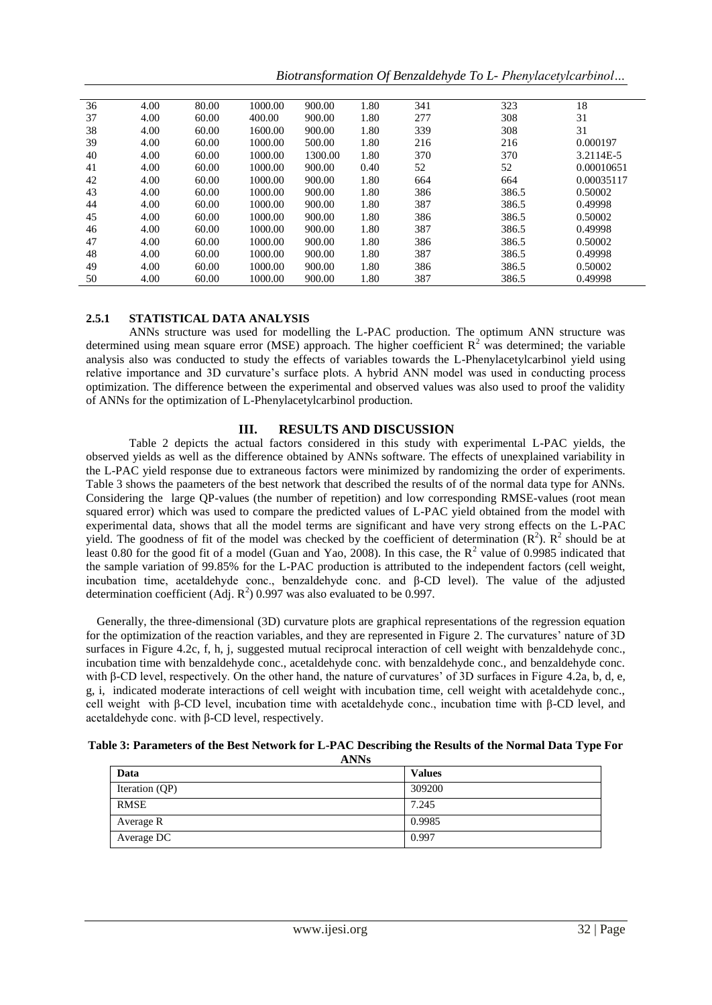*Biotransformation Of Benzaldehyde To L- Phenylacetylcarbinol…*

| 36 | 4.00 | 80.00 | 1000.00 | 900.00  | 1.80 | 341 | 323   | 18         |
|----|------|-------|---------|---------|------|-----|-------|------------|
| 37 | 4.00 | 60.00 | 400.00  | 900.00  | 1.80 | 277 | 308   | 31         |
| 38 | 4.00 | 60.00 | 1600.00 | 900.00  | 1.80 | 339 | 308   | 31         |
| 39 | 4.00 | 60.00 | 1000.00 | 500.00  | 1.80 | 216 | 216   | 0.000197   |
| 40 | 4.00 | 60.00 | 1000.00 | 1300.00 | 1.80 | 370 | 370   | 3.2114E-5  |
| 41 | 4.00 | 60.00 | 1000.00 | 900.00  | 0.40 | 52  | 52    | 0.00010651 |
| 42 | 4.00 | 60.00 | 1000.00 | 900.00  | 1.80 | 664 | 664   | 0.00035117 |
| 43 | 4.00 | 60.00 | 1000.00 | 900.00  | 1.80 | 386 | 386.5 | 0.50002    |
| 44 | 4.00 | 60.00 | 1000.00 | 900.00  | 1.80 | 387 | 386.5 | 0.49998    |
| 45 | 4.00 | 60.00 | 1000.00 | 900.00  | 1.80 | 386 | 386.5 | 0.50002    |
| 46 | 4.00 | 60.00 | 1000.00 | 900.00  | 1.80 | 387 | 386.5 | 0.49998    |
| 47 | 4.00 | 60.00 | 1000.00 | 900.00  | 1.80 | 386 | 386.5 | 0.50002    |
| 48 | 4.00 | 60.00 | 1000.00 | 900.00  | 1.80 | 387 | 386.5 | 0.49998    |
| 49 | 4.00 | 60.00 | 1000.00 | 900.00  | 1.80 | 386 | 386.5 | 0.50002    |
| 50 | 4.00 | 60.00 | 1000.00 | 900.00  | 1.80 | 387 | 386.5 | 0.49998    |

#### **2.5.1 STATISTICAL DATA ANALYSIS**

ANNs structure was used for modelling the L-PAC production. The optimum ANN structure was determined using mean square error (MSE) approach. The higher coefficient  $R^2$  was determined; the variable analysis also was conducted to study the effects of variables towards the L-Phenylacetylcarbinol yield using relative importance and 3D curvature's surface plots. A hybrid ANN model was used in conducting process optimization. The difference between the experimental and observed values was also used to proof the validity of ANNs for the optimization of L-Phenylacetylcarbinol production.

## **III. RESULTS AND DISCUSSION**

Table 2 depicts the actual factors considered in this study with experimental L-PAC yields, the observed yields as well as the difference obtained by ANNs software. The effects of unexplained variability in the L-PAC yield response due to extraneous factors were minimized by randomizing the order of experiments. Table 3 shows the paameters of the best network that described the results of of the normal data type for ANNs. Considering the large QP-values (the number of repetition) and low corresponding RMSE-values (root mean squared error) which was used to compare the predicted values of L-PAC yield obtained from the model with experimental data, shows that all the model terms are significant and have very strong effects on the L-PAC yield. The goodness of fit of the model was checked by the coefficient of determination  $(R^2)$ .  $R^2$  should be at least 0.80 for the good fit of a model (Guan and Yao, 2008). In this case, the  $R^2$  value of 0.9985 indicated that the sample variation of 99.85% for the L-PAC production is attributed to the independent factors (cell weight, incubation time, acetaldehyde conc., benzaldehyde conc. and β-CD level). The value of the adjusted determination coefficient (Adj.  $\mathbb{R}^2$ ) 0.997 was also evaluated to be 0.997.

Generally, the three-dimensional (3D) curvature plots are graphical representations of the regression equation for the optimization of the reaction variables, and they are represented in Figure 2. The curvatures' nature of 3D surfaces in Figure 4.2c, f, h, j, suggested mutual reciprocal interaction of cell weight with benzaldehyde conc., incubation time with benzaldehyde conc., acetaldehyde conc. with benzaldehyde conc., and benzaldehyde conc. with β-CD level, respectively. On the other hand, the nature of curvatures' of 3D surfaces in Figure 4.2a, b, d, e, g, i, indicated moderate interactions of cell weight with incubation time, cell weight with acetaldehyde conc., cell weight with β-CD level, incubation time with acetaldehyde conc., incubation time with β-CD level, and acetaldehyde conc. with β-CD level, respectively.

| Table 3: Parameters of the Best Network for L-PAC Describing the Results of the Normal Data Type For |
|------------------------------------------------------------------------------------------------------|
| A NN¤                                                                                                |

| Data           | <b>Values</b> |
|----------------|---------------|
| Iteration (QP) | 309200        |
| <b>RMSE</b>    | 7.245         |
| Average R      | 0.9985        |
| Average DC     | 0.997         |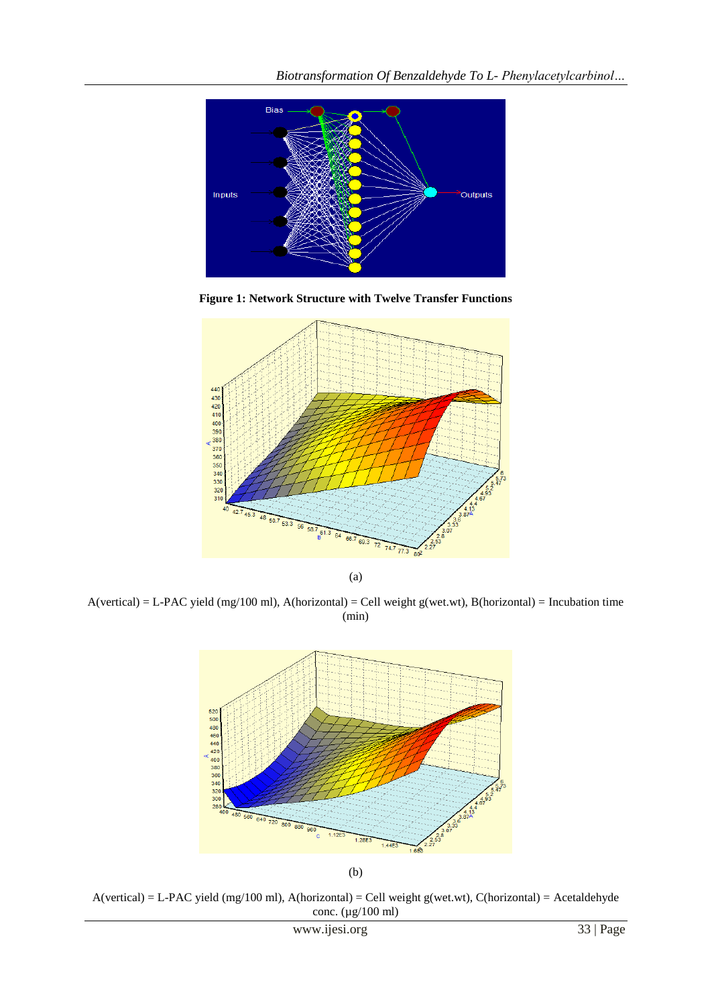

**Figure 1: Network Structure with Twelve Transfer Functions**



(a)

 $A(vertical) = L-PAC yield (mg/100 ml), A(horizontal) = Cell weight g(wet.wt), B(horizontal) = Incubation time$ (min)



 $A(vertical) = L-PAC yield (mg/100 ml), A(horizontal) = Cell weight g(wet.wt), C(horizontal) = Acetaldehyde$ conc. (µg/100 ml)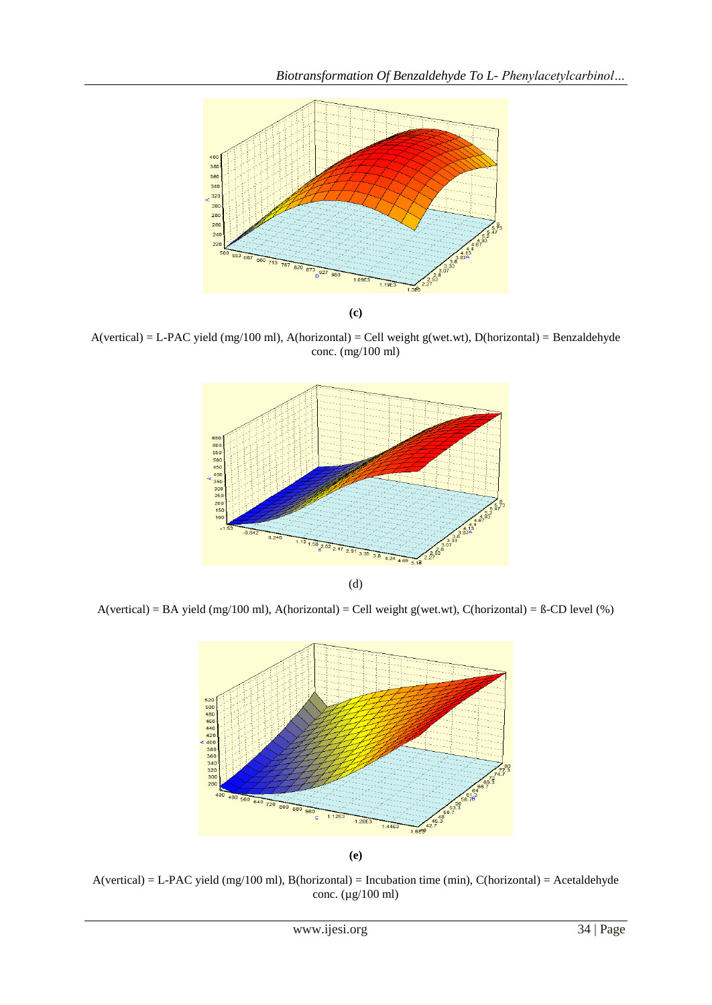

A(vertical) = L-PAC yield (mg/100 ml), A(horizontal) = Cell weight g(wet.wt), D(horizontal) = Benzaldehyde conc. (mg/100 ml)



(d)

 $A(vertical) = BA$  yield (mg/100 ml),  $A(horizontal) = Cell$  weight g(wet.wt),  $C(horizontal) = B-CD$  level (%)



A(vertical) = L-PAC yield (mg/100 ml), B(horizontal) = Incubation time (min), C(horizontal) = Acetaldehyde conc. (µg/100 ml)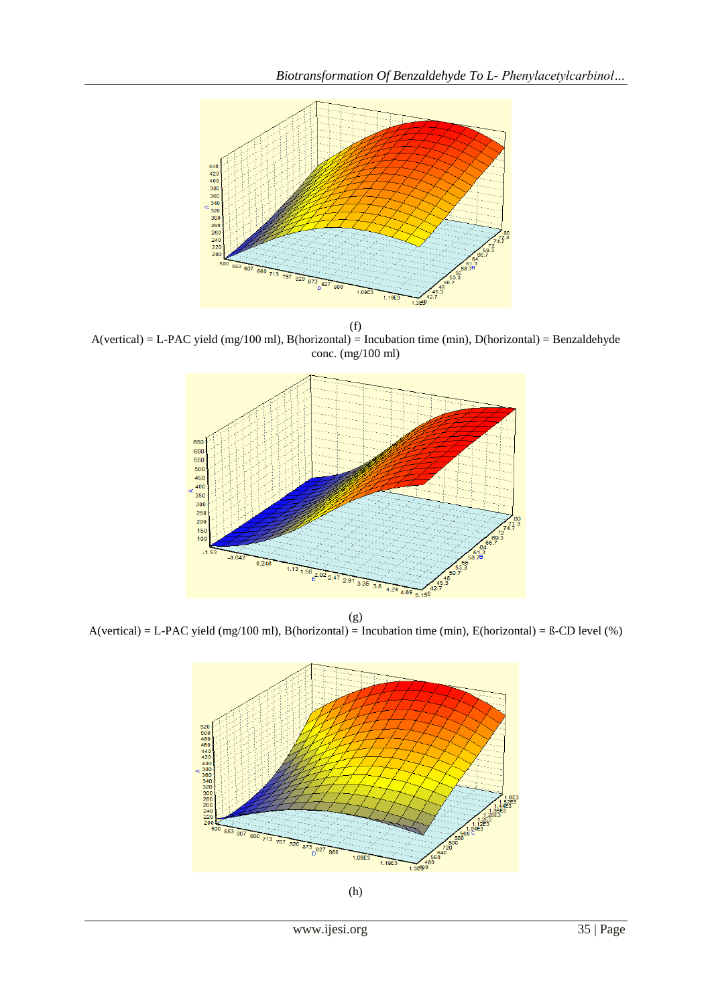

(f) A(vertical) = L-PAC yield (mg/100 ml), B(horizontal) = Incubation time (min), D(horizontal) = Benzaldehyde conc. (mg/100 ml)



(g) A(vertical) = L-PAC yield (mg/100 ml), B(horizontal) = Incubation time (min), E(horizontal) = ß-CD level (%)

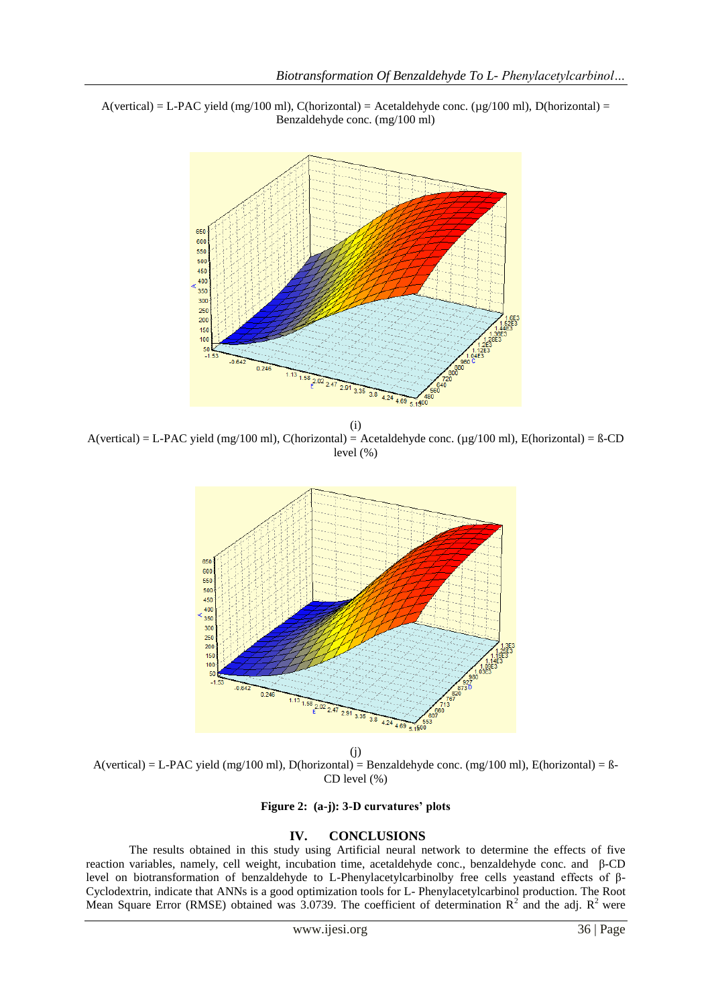$A(vertical) = L-PAC yield (mg/100 ml), C(horizontal) = Acetaldehyde conc. (µg/100 ml), D(horizontal) = L-PAC yield (mg/100 ml), C(horizontal) = Acetaldehyde con.$ Benzaldehyde conc. (mg/100 ml)



(i)  $A(vertical) = L-PAC yield (mg/100 ml), C(horizontal) = Acetaldehyde conc. (µg/100 ml), E(horizontal) = B-CD$ level (%)



(j)  $A(vertical) = L-PAC yield (mg/100 ml), D(horizontal) = Benzaldehyde conc. (mg/100 ml), E(horizontal) = B-$ CD level (%)

**Figure 2: (a-j): 3-D curvatures' plots** 

#### **IV. CONCLUSIONS**

The results obtained in this study using Artificial neural network to determine the effects of five reaction variables, namely, cell weight, incubation time, acetaldehyde conc., benzaldehyde conc. and β-CD level on biotransformation of benzaldehyde to L-Phenylacetylcarbinolby free cells yeastand effects of β-Cyclodextrin, indicate that ANNs is a good optimization tools for L- Phenylacetylcarbinol production. The Root Mean Square Error (RMSE) obtained was 3.0739. The coefficient of determination  $R^2$  and the adj.  $R^2$  were